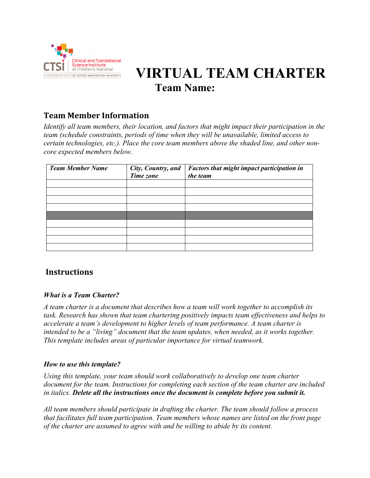

# *<b>I* **R at Children's National <b>WIRTUAL TEAM CHARTER Team Name:**

## **Team Member Information**

*Identify all team members, their location, and factors that might impact their participation in the team (schedule constraints, periods of time when they will be unavailable, limited access to certain technologies, etc.). Place the core team members above the shaded line, and other noncore expected members below.*

| <b>Team Member Name</b> | City, Country, and<br>Time zone | Factors that might impact participation in<br>the team |
|-------------------------|---------------------------------|--------------------------------------------------------|
|                         |                                 |                                                        |
|                         |                                 |                                                        |
|                         |                                 |                                                        |
|                         |                                 |                                                        |
|                         |                                 |                                                        |
|                         |                                 |                                                        |
|                         |                                 |                                                        |
|                         |                                 |                                                        |
|                         |                                 |                                                        |

## **Instructions**

#### *What is a Team Charter?*

*A team charter is a document that describes how a team will work together to accomplish its task. Research has shown that team chartering positively impacts team effectiveness and helps to accelerate a team's development to higher levels of team performance. A team charter is intended to be a "living" document that the team updates, when needed, as it works together. This template includes areas of particular importance for virtual teamwork.*

#### *How to use this template?*

*Using this template, your team should work collaboratively to develop one team charter document for the team. Instructions for completing each section of the team charter are included in italics. Delete all the instructions once the document is complete before you submit it.*

*All team members should participate in drafting the charter. The team should follow a process that facilitates full team participation. Team members whose names are listed on the front page of the charter are assumed to agree with and be willing to abide by its content.*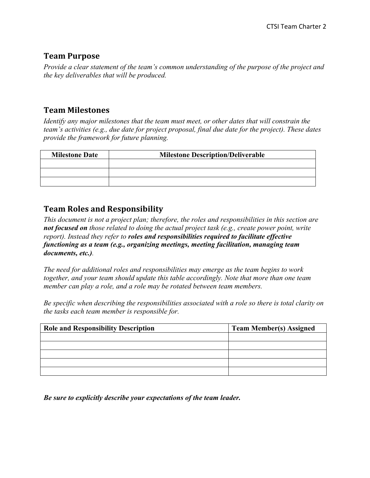#### **Team Purpose**

*Provide a clear statement of the team's common understanding of the purpose of the project and the key deliverables that will be produced.* 

## **Team Milestones**

*Identify any major milestones that the team must meet, or other dates that will constrain the team's activities (e.g., due date for project proposal, final due date for the project). These dates provide the framework for future planning.*

| <b>Milestone Date</b> | <b>Milestone Description/Deliverable</b> |  |  |
|-----------------------|------------------------------------------|--|--|
|                       |                                          |  |  |
|                       |                                          |  |  |
|                       |                                          |  |  |

## **Team Roles and Responsibility**

*This document is not a project plan; therefore, the roles and responsibilities in this section are not focused on those related to doing the actual project task (e.g., create power point, write report). Instead they refer to roles and responsibilities required to facilitate effective functioning as a team (e.g., organizing meetings, meeting facilitation, managing team documents, etc.).* 

*The need for additional roles and responsibilities may emerge as the team begins to work together, and your team should update this table accordingly. Note that more than one team member can play a role, and a role may be rotated between team members.* 

*Be specific when describing the responsibilities associated with a role so there is total clarity on the tasks each team member is responsible for.*

| <b>Role and Responsibility Description</b> | <b>Team Member(s) Assigned</b> |
|--------------------------------------------|--------------------------------|
|                                            |                                |
|                                            |                                |
|                                            |                                |
|                                            |                                |
|                                            |                                |

*Be sure to explicitly describe your expectations of the team leader.*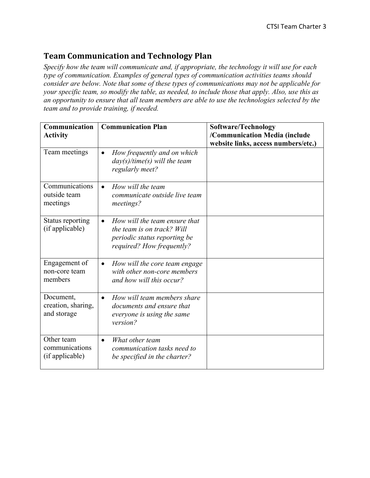#### **Team Communication and Technology Plan**

*Specify how the team will communicate and, if appropriate, the technology it will use for each type of communication. Examples of general types of communication activities teams should consider are below. Note that some of these types of communications may not be applicable for your specific team, so modify the table, as needed, to include those that apply. Also, use this as an opportunity to ensure that all team members are able to use the technologies selected by the team and to provide training, if needed.*

| Communication<br><b>Activity</b>                | <b>Communication Plan</b>                                                                                                             | Software/Technology<br>/Communication Media (include<br>website links, access numbers/etc.) |
|-------------------------------------------------|---------------------------------------------------------------------------------------------------------------------------------------|---------------------------------------------------------------------------------------------|
| Team meetings                                   | How frequently and on which<br>$\bullet$<br>$day(s)/time(s)$ will the team<br>regularly meet?                                         |                                                                                             |
| Communications<br>outside team<br>meetings      | How will the team<br>$\bullet$<br>communicate outside live team<br>meetings?                                                          |                                                                                             |
| Status reporting<br>(if applicable)             | How will the team ensure that<br>$\bullet$<br>the team is on track? Will<br>periodic status reporting be<br>required? How frequently? |                                                                                             |
| Engagement of<br>non-core team<br>members       | How will the core team engage<br>$\bullet$<br>with other non-core members<br>and how will this occur?                                 |                                                                                             |
| Document,<br>creation, sharing,<br>and storage  | How will team members share<br>$\bullet$<br>documents and ensure that<br>everyone is using the same<br>version?                       |                                                                                             |
| Other team<br>communications<br>(if applicable) | What other team<br>$\bullet$<br>communication tasks need to<br>be specified in the charter?                                           |                                                                                             |